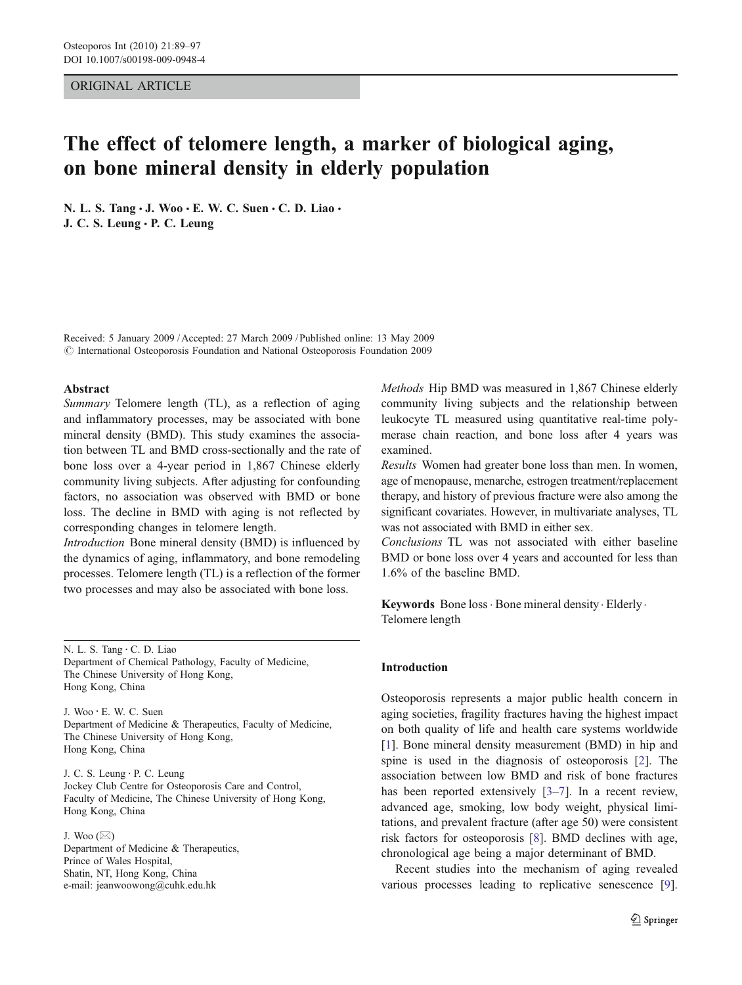# ORIGINAL ARTICLE

# The effect of telomere length, a marker of biological aging, on bone mineral density in elderly population

N. L. S. Tang · J. Woo · E. W. C. Suen · C. D. Liao · J. C. S. Leung · P. C. Leung

Received: 5 January 2009 /Accepted: 27 March 2009 / Published online: 13 May 2009  $\oslash$  International Osteoporosis Foundation and National Osteoporosis Foundation 2009

## Abstract

Summary Telomere length (TL), as a reflection of aging and inflammatory processes, may be associated with bone mineral density (BMD). This study examines the association between TL and BMD cross-sectionally and the rate of bone loss over a 4-year period in 1,867 Chinese elderly community living subjects. After adjusting for confounding factors, no association was observed with BMD or bone loss. The decline in BMD with aging is not reflected by corresponding changes in telomere length.

Introduction Bone mineral density (BMD) is influenced by the dynamics of aging, inflammatory, and bone remodeling processes. Telomere length (TL) is a reflection of the former two processes and may also be associated with bone loss.

J. Woo : E. W. C. Suen Department of Medicine & Therapeutics, Faculty of Medicine, The Chinese University of Hong Kong, Hong Kong, China

J. C. S. Leung : P. C. Leung Jockey Club Centre for Osteoporosis Care and Control, Faculty of Medicine, The Chinese University of Hong Kong, Hong Kong, China

J. Woo  $(\boxtimes)$ Department of Medicine & Therapeutics, Prince of Wales Hospital, Shatin, NT, Hong Kong, China e-mail: jeanwoowong@cuhk.edu.hk

Methods Hip BMD was measured in 1,867 Chinese elderly community living subjects and the relationship between leukocyte TL measured using quantitative real-time polymerase chain reaction, and bone loss after 4 years was examined.

Results Women had greater bone loss than men. In women, age of menopause, menarche, estrogen treatment/replacement therapy, and history of previous fracture were also among the significant covariates. However, in multivariate analyses, TL was not associated with BMD in either sex.

Conclusions TL was not associated with either baseline BMD or bone loss over 4 years and accounted for less than 1.6% of the baseline BMD.

Keywords Bone loss · Bone mineral density · Elderly · Telomere length

#### Introduction

Osteoporosis represents a major public health concern in aging societies, fragility fractures having the highest impact on both quality of life and health care systems worldwide [\[1](#page-7-0)]. Bone mineral density measurement (BMD) in hip and spine is used in the diagnosis of osteoporosis [[2\]](#page-7-0). The association between low BMD and risk of bone fractures has been reported extensively [[3](#page-7-0)–[7\]](#page-7-0). In a recent review, advanced age, smoking, low body weight, physical limitations, and prevalent fracture (after age 50) were consistent risk factors for osteoporosis [\[8](#page-7-0)]. BMD declines with age, chronological age being a major determinant of BMD.

Recent studies into the mechanism of aging revealed various processes leading to replicative senescence [[9\]](#page-7-0).

N. L. S. Tang : C. D. Liao Department of Chemical Pathology, Faculty of Medicine, The Chinese University of Hong Kong, Hong Kong, China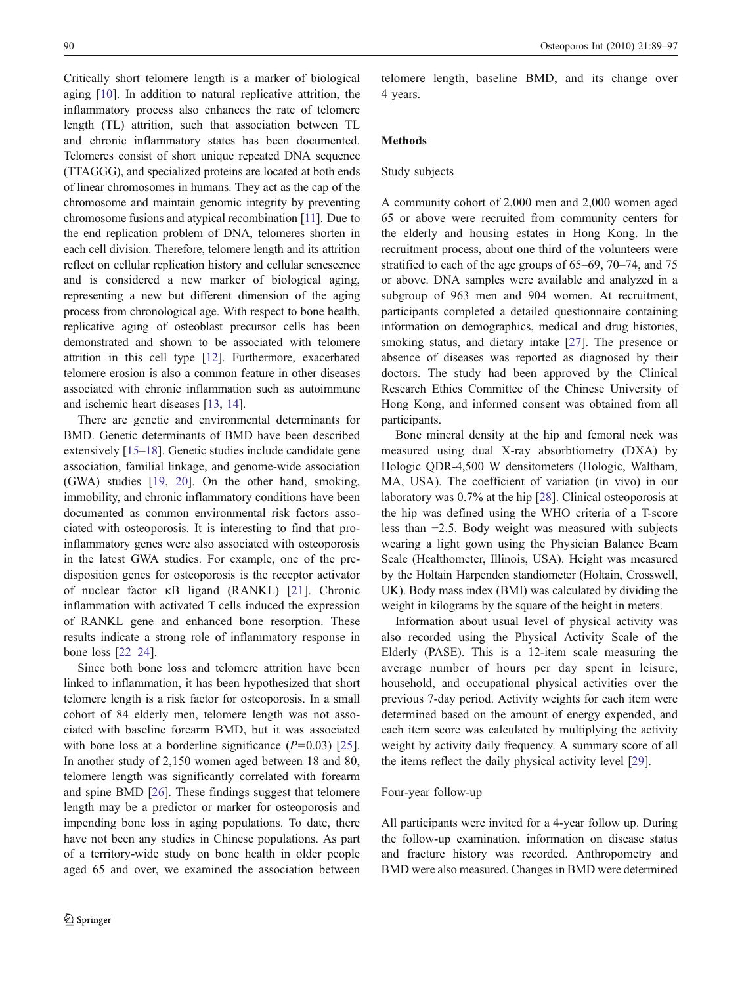Critically short telomere length is a marker of biological aging [[10\]](#page-7-0). In addition to natural replicative attrition, the inflammatory process also enhances the rate of telomere length (TL) attrition, such that association between TL and chronic inflammatory states has been documented. Telomeres consist of short unique repeated DNA sequence (TTAGGG), and specialized proteins are located at both ends of linear chromosomes in humans. They act as the cap of the chromosome and maintain genomic integrity by preventing chromosome fusions and atypical recombination [\[11\]](#page-7-0). Due to the end replication problem of DNA, telomeres shorten in each cell division. Therefore, telomere length and its attrition reflect on cellular replication history and cellular senescence and is considered a new marker of biological aging, representing a new but different dimension of the aging process from chronological age. With respect to bone health, replicative aging of osteoblast precursor cells has been demonstrated and shown to be associated with telomere attrition in this cell type [\[12](#page-7-0)]. Furthermore, exacerbated telomere erosion is also a common feature in other diseases associated with chronic inflammation such as autoimmune and ischemic heart diseases [[13](#page-7-0), [14\]](#page-7-0).

There are genetic and environmental determinants for BMD. Genetic determinants of BMD have been described extensively [[15](#page-7-0)–[18\]](#page-7-0). Genetic studies include candidate gene association, familial linkage, and genome-wide association (GWA) studies [[19,](#page-7-0) [20\]](#page-7-0). On the other hand, smoking, immobility, and chronic inflammatory conditions have been documented as common environmental risk factors associated with osteoporosis. It is interesting to find that proinflammatory genes were also associated with osteoporosis in the latest GWA studies. For example, one of the predisposition genes for osteoporosis is the receptor activator of nuclear factor κB ligand (RANKL) [[21](#page-7-0)]. Chronic inflammation with activated T cells induced the expression of RANKL gene and enhanced bone resorption. These results indicate a strong role of inflammatory response in bone loss [[22](#page-8-0)–[24\]](#page-8-0).

Since both bone loss and telomere attrition have been linked to inflammation, it has been hypothesized that short telomere length is a risk factor for osteoporosis. In a small cohort of 84 elderly men, telomere length was not associated with baseline forearm BMD, but it was associated with bone loss at a borderline significance  $(P=0.03)$  [\[25](#page-8-0)]. In another study of 2,150 women aged between 18 and 80, telomere length was significantly correlated with forearm and spine BMD [\[26\]](#page-8-0). These findings suggest that telomere length may be a predictor or marker for osteoporosis and impending bone loss in aging populations. To date, there have not been any studies in Chinese populations. As part of a territory-wide study on bone health in older people aged 65 and over, we examined the association between telomere length, baseline BMD, and its change over 4 years.

# Methods

## Study subjects

A community cohort of 2,000 men and 2,000 women aged 65 or above were recruited from community centers for the elderly and housing estates in Hong Kong. In the recruitment process, about one third of the volunteers were stratified to each of the age groups of 65–69, 70–74, and 75 or above. DNA samples were available and analyzed in a subgroup of 963 men and 904 women. At recruitment, participants completed a detailed questionnaire containing information on demographics, medical and drug histories, smoking status, and dietary intake [[27\]](#page-8-0). The presence or absence of diseases was reported as diagnosed by their doctors. The study had been approved by the Clinical Research Ethics Committee of the Chinese University of Hong Kong, and informed consent was obtained from all participants.

Bone mineral density at the hip and femoral neck was measured using dual X-ray absorbtiometry (DXA) by Hologic QDR-4,500 W densitometers (Hologic, Waltham, MA, USA). The coefficient of variation (in vivo) in our laboratory was 0.7% at the hip [\[28](#page-8-0)]. Clinical osteoporosis at the hip was defined using the WHO criteria of a T-score less than −2.5. Body weight was measured with subjects wearing a light gown using the Physician Balance Beam Scale (Healthometer, Illinois, USA). Height was measured by the Holtain Harpenden standiometer (Holtain, Crosswell, UK). Body mass index (BMI) was calculated by dividing the weight in kilograms by the square of the height in meters.

Information about usual level of physical activity was also recorded using the Physical Activity Scale of the Elderly (PASE). This is a 12-item scale measuring the average number of hours per day spent in leisure, household, and occupational physical activities over the previous 7-day period. Activity weights for each item were determined based on the amount of energy expended, and each item score was calculated by multiplying the activity weight by activity daily frequency. A summary score of all the items reflect the daily physical activity level [\[29](#page-8-0)].

#### Four-year follow-up

All participants were invited for a 4-year follow up. During the follow-up examination, information on disease status and fracture history was recorded. Anthropometry and BMD were also measured. Changes in BMD were determined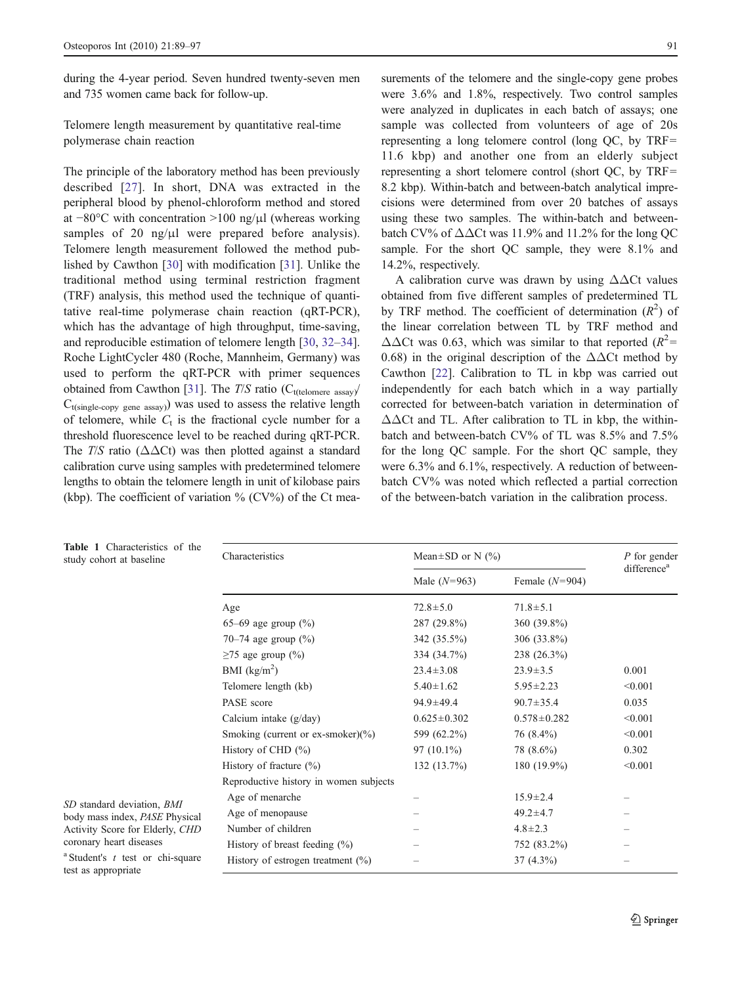<span id="page-2-0"></span>during the 4-year period. Seven hundred twenty-seven men and 735 women came back for follow-up.

Telomere length measurement by quantitative real-time polymerase chain reaction

The principle of the laboratory method has been previously described [\[27\]](#page-8-0). In short, DNA was extracted in the peripheral blood by phenol-chloroform method and stored at −80°C with concentration >100 ng/μl (whereas working samples of 20 ng/ $\mu$ l were prepared before analysis). Telomere length measurement followed the method published by Cawthon [[30\]](#page-8-0) with modification [[31\]](#page-8-0). Unlike the traditional method using terminal restriction fragment (TRF) analysis, this method used the technique of quantitative real-time polymerase chain reaction (qRT-PCR), which has the advantage of high throughput, time-saving, and reproducible estimation of telomere length [\[30](#page-8-0), [32](#page-8-0)–[34](#page-8-0)]. Roche LightCycler 480 (Roche, Mannheim, Germany) was used to perform the qRT-PCR with primer sequences obtained from Cawthon [[31](#page-8-0)]. The  $T/S$  ratio (C<sub>t(telomere assay</sub>)  $C_{t(single-copy gene assay)})$  was used to assess the relative length of telomere, while  $C_t$  is the fractional cycle number for a threshold fluorescence level to be reached during qRT-PCR. The T/S ratio ( $\Delta \Delta$ Ct) was then plotted against a standard calibration curve using samples with predetermined telomere lengths to obtain the telomere length in unit of kilobase pairs (kbp). The coefficient of variation  $\%$  (CV%) of the Ct measurements of the telomere and the single-copy gene probes were 3.6% and 1.8%, respectively. Two control samples were analyzed in duplicates in each batch of assays; one sample was collected from volunteers of age of 20s representing a long telomere control (long QC, by TRF= 11.6 kbp) and another one from an elderly subject representing a short telomere control (short QC, by TRF= 8.2 kbp). Within-batch and between-batch analytical imprecisions were determined from over 20 batches of assays using these two samples. The within-batch and betweenbatch CV% of  $\Delta\Delta$ Ct was 11.9% and 11.2% for the long QC sample. For the short QC sample, they were 8.1% and 14.2%, respectively.

A calibration curve was drawn by using  $\Delta\Delta$ Ct values obtained from five different samples of predetermined TL by TRF method. The coefficient of determination  $(R^2)$  of the linear correlation between TL by TRF method and  $\Delta\Delta$ Ct was 0.63, which was similar to that reported ( $R^2$ = 0.68) in the original description of the  $\Delta\Delta$ Ct method by Cawthon [[22\]](#page-8-0). Calibration to TL in kbp was carried out independently for each batch which in a way partially corrected for between-batch variation in determination of  $\Delta\Delta$ Ct and TL. After calibration to TL in kbp, the withinbatch and between-batch CV% of TL was 8.5% and 7.5% for the long QC sample. For the short QC sample, they were 6.3% and 6.1%, respectively. A reduction of betweenbatch CV% was noted which reflected a partial correction of the between-batch variation in the calibration process.

| <b>Table 1</b> Characteristics of the<br>study cohort at baseline                                                          | Characteristics                        | Mean $\pm$ SD or N (%) |                   | P for gender<br>difference <sup>a</sup> |  |
|----------------------------------------------------------------------------------------------------------------------------|----------------------------------------|------------------------|-------------------|-----------------------------------------|--|
|                                                                                                                            |                                        | Male $(N=963)$         | Female $(N=904)$  |                                         |  |
|                                                                                                                            | Age                                    | $72.8 \pm 5.0$         | $71.8 \pm 5.1$    |                                         |  |
|                                                                                                                            | 65–69 age group $(\% )$                | 287 (29.8%)            | 360 (39.8%)       |                                         |  |
|                                                                                                                            | 70–74 age group $(\% )$                | 342 (35.5%)            | $306(33.8\%)$     |                                         |  |
|                                                                                                                            | $\geq$ 75 age group (%)                | 334 (34.7%)            | 238 (26.3%)       |                                         |  |
|                                                                                                                            | BMI $(kg/m2)$                          | $23.4 \pm 3.08$        | $23.9 \pm 3.5$    | 0.001                                   |  |
|                                                                                                                            | Telomere length (kb)                   | $5.40 \pm 1.62$        | $5.95 \pm 2.23$   | < 0.001                                 |  |
|                                                                                                                            | PASE score                             | $94.9 \pm 49.4$        | $90.7 \pm 35.4$   | 0.035                                   |  |
|                                                                                                                            | Calcium intake $(g/day)$               | $0.625 \pm 0.302$      | $0.578 \pm 0.282$ | < 0.001                                 |  |
|                                                                                                                            | Smoking (current or ex-smoker) $(\% )$ | 599 (62.2%)            | $76(8.4\%)$       | < 0.001                                 |  |
|                                                                                                                            | History of CHD $(\% )$                 | $97(10.1\%)$           | 78 (8.6%)         | 0.302                                   |  |
|                                                                                                                            | History of fracture $(\% )$            | 132(13.7%)             | 180 $(19.9\%)$    | < 0.001                                 |  |
|                                                                                                                            | Reproductive history in women subjects |                        |                   |                                         |  |
| SD standard deviation, BMI<br>body mass index, PASE Physical<br>Activity Score for Elderly, CHD<br>coronary heart diseases | Age of menarche                        |                        | $15.9 \pm 2.4$    |                                         |  |
|                                                                                                                            | Age of menopause                       |                        | $49.2 \pm 4.7$    |                                         |  |
|                                                                                                                            | Number of children                     |                        | $4.8 \pm 2.3$     |                                         |  |
|                                                                                                                            | History of breast feeding $(\% )$      |                        | 752 (83.2%)       |                                         |  |
| <sup>a</sup> Student's $t$ test or chi-square<br>test as annropriate                                                       | History of estrogen treatment $(\%)$   |                        | $37(4.3\%)$       |                                         |  |

#### Table 1 Characteristics of the study cohort at baseline

test as appropriate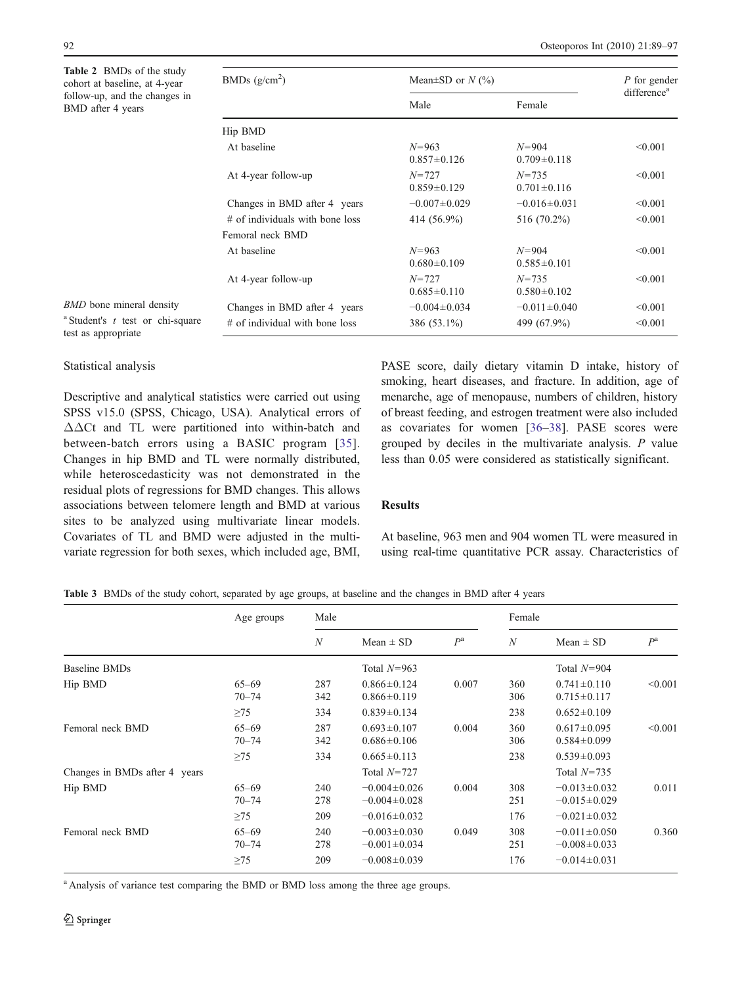<span id="page-3-0"></span>Table 2 BMDs of the study cohort at baseline, at 4 follow-up, and the changes BMD after 4 years

| <b>LADIC</b> $\angle$ Divides 01 the study<br>cohort at baseline, at 4-year | BMDs $(g/cm^2)$                   | Mean $\pm$ SD or N (%)         | P for gender<br>difference <sup>a</sup> |         |  |
|-----------------------------------------------------------------------------|-----------------------------------|--------------------------------|-----------------------------------------|---------|--|
| follow-up, and the changes in<br>BMD after 4 years                          |                                   | Male                           | Female                                  |         |  |
|                                                                             | Hip BMD                           |                                |                                         |         |  |
|                                                                             | At baseline                       | $N = 963$<br>$0.857 \pm 0.126$ | $N = 904$<br>$0.709 \pm 0.118$          | < 0.001 |  |
|                                                                             | At 4-year follow-up               | $N = 727$<br>$0.859 \pm 0.129$ | $N = 735$<br>$0.701 \pm 0.116$          | < 0.001 |  |
|                                                                             | Changes in BMD after 4 years      | $-0.007 \pm 0.029$             | $-0.016 \pm 0.031$                      | < 0.001 |  |
|                                                                             | $#$ of individuals with bone loss | 414 (56.9%)                    | 516 (70.2%)                             | < 0.001 |  |
|                                                                             | Femoral neck BMD                  |                                |                                         |         |  |
|                                                                             | At baseline                       | $N = 963$<br>$0.680 \pm 0.109$ | $N = 904$<br>$0.585 \pm 0.101$          | < 0.001 |  |
|                                                                             | At 4-year follow-up               | $N = 727$<br>$0.685 \pm 0.110$ | $N = 735$<br>$0.580 \pm 0.102$          | < 0.001 |  |
| <b>BMD</b> bone mineral density                                             | Changes in BMD after 4 years      | $-0.004 \pm 0.034$             | $-0.011 \pm 0.040$                      | < 0.001 |  |
| <sup>a</sup> Student's $t$ test or chi-square<br>test as appropriate        | $#$ of individual with bone loss  | 386 (53.1%)                    | 499 (67.9%)                             | < 0.001 |  |

# Statistical analysis

test as appropriate

Descriptive and analytical statistics were carried out using SPSS v15.0 (SPSS, Chicago, USA). Analytical errors of ΔΔCt and TL were partitioned into within-batch and between-batch errors using a BASIC program [[35](#page-8-0)]. Changes in hip BMD and TL were normally distributed, while heteroscedasticity was not demonstrated in the residual plots of regressions for BMD changes. This allows associations between telomere length and BMD at various sites to be analyzed using multivariate linear models. Covariates of TL and BMD were adjusted in the multivariate regression for both sexes, which included age, BMI,

PASE score, daily dietary vitamin D intake, history of smoking, heart diseases, and fracture. In addition, age of menarche, age of menopause, numbers of children, history of breast feeding, and estrogen treatment were also included as covariates for women [[36](#page-8-0)–[38\]](#page-8-0). PASE scores were grouped by deciles in the multivariate analysis. P value less than 0.05 were considered as statistically significant.

# Results

At baseline, 963 men and 904 women TL were measured in using real-time quantitative PCR assay. Characteristics of

Table 3 BMDs of the study cohort, separated by age groups, at baseline and the changes in BMD after 4 years

|                               | Age groups                          | Male              |                                                                | Female      |                   |                                                                |             |
|-------------------------------|-------------------------------------|-------------------|----------------------------------------------------------------|-------------|-------------------|----------------------------------------------------------------|-------------|
|                               |                                     | $\mathcal N$      | Mean $\pm$ SD                                                  | $P^{\rm a}$ | N                 | Mean $\pm$ SD                                                  | $P^{\rm a}$ |
| Baseline BMDs                 |                                     |                   | Total $N=963$                                                  |             |                   | Total $N=904$                                                  |             |
| Hip BMD                       | $65 - 69$<br>$70 - 74$              | 287<br>342        | $0.866 \pm 0.124$<br>$0.866 \pm 0.119$                         | 0.007       | 360<br>306        | $0.741 \pm 0.110$<br>$0.715 \pm 0.117$                         | < 0.001     |
|                               | $\geq$ 75                           | 334               | $0.839 \pm 0.134$                                              |             | 238               | $0.652 \pm 0.109$                                              |             |
| Femoral neck BMD              | $65 - 69$<br>$70 - 74$              | 287<br>342        | $0.693 \pm 0.107$<br>$0.686 \pm 0.106$                         | 0.004       | 360<br>306        | $0.617 \pm 0.095$<br>$0.584 \pm 0.099$                         | < 0.001     |
|                               | $\geq$ 75                           | 334               | $0.665 \pm 0.113$                                              |             | 238               | $0.539 \pm 0.093$                                              |             |
| Changes in BMDs after 4 years |                                     |                   | Total $N=727$                                                  |             |                   | Total $N=735$                                                  |             |
| Hip BMD                       | $65 - 69$<br>$70 - 74$              | 240<br>278        | $-0.004 \pm 0.026$<br>$-0.004 \pm 0.028$                       | 0.004       | 308<br>251        | $-0.013 \pm 0.032$<br>$-0.015 \pm 0.029$                       | 0.011       |
|                               | $\geq$ 75                           | 209               | $-0.016 \pm 0.032$                                             |             | 176               | $-0.021 \pm 0.032$                                             |             |
| Femoral neck BMD              | $65 - 69$<br>$70 - 74$<br>$\geq$ 75 | 240<br>278<br>209 | $-0.003 \pm 0.030$<br>$-0.001 \pm 0.034$<br>$-0.008 \pm 0.039$ | 0.049       | 308<br>251<br>176 | $-0.011 \pm 0.050$<br>$-0.008 \pm 0.033$<br>$-0.014 \pm 0.031$ | 0.360       |
|                               |                                     |                   |                                                                |             |                   |                                                                |             |

<sup>a</sup> Analysis of variance test comparing the BMD or BMD loss among the three age groups.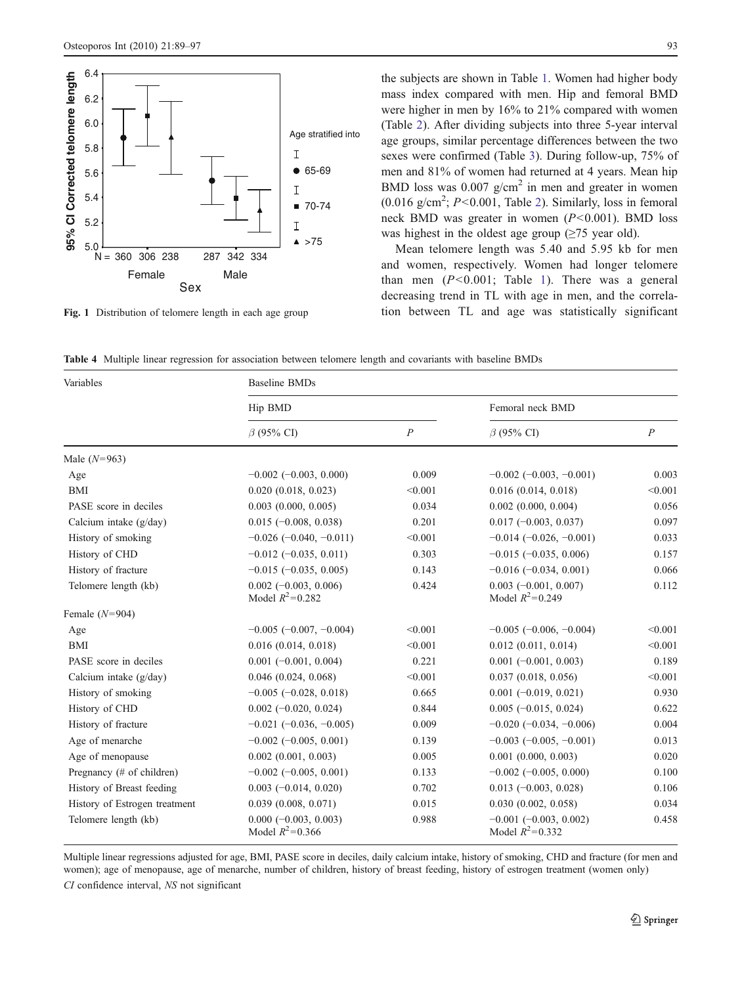<span id="page-4-0"></span>

Fig. 1 Distribution of telomere length in each age group

the subjects are shown in Table [1.](#page-2-0) Women had higher body mass index compared with men. Hip and femoral BMD were higher in men by 16% to 21% compared with women (Table [2\)](#page-3-0). After dividing subjects into three 5-year interval age groups, similar percentage differences between the two sexes were confirmed (Table [3\)](#page-3-0). During follow-up, 75% of men and 81% of women had returned at 4 years. Mean hip BMD loss was  $0.007$  g/cm<sup>2</sup> in men and greater in women  $(0.016 \text{ g/cm}^2; P<0.001,$  Table [2\)](#page-3-0). Similarly, loss in femoral neck BMD was greater in women  $(P<0.001)$ . BMD loss was highest in the oldest age group  $(\geq 75$  year old).

Mean telomere length was 5.40 and 5.95 kb for men and women, respectively. Women had longer telomere than men  $(P<0.001$ ; Table [1\)](#page-2-0). There was a general decreasing trend in TL with age in men, and the correlation between TL and age was statistically significant

Table 4 Multiple linear regression for association between telomere length and covariants with baseline BMDs

| Variables                     | <b>Baseline BMDs</b>                           |                  |                                                   |                  |  |  |  |
|-------------------------------|------------------------------------------------|------------------|---------------------------------------------------|------------------|--|--|--|
|                               | Hip BMD                                        |                  | Femoral neck BMD                                  |                  |  |  |  |
|                               | $\beta$ (95% CI)                               | $\boldsymbol{P}$ | $\beta$ (95% CI)                                  | $\boldsymbol{P}$ |  |  |  |
| Male $(N=963)$                |                                                |                  |                                                   |                  |  |  |  |
| Age                           | $-0.002$ ( $-0.003$ , 0.000)                   | 0.009            | $-0.002$ ( $-0.003$ , $-0.001$ )                  | 0.003            |  |  |  |
| <b>BMI</b>                    | 0.020(0.018, 0.023)                            | < 0.001          | 0.016(0.014, 0.018)                               | < 0.001          |  |  |  |
| PASE score in deciles         | $0.003$ $(0.000, 0.005)$                       | 0.034            | $0.002$ $(0.000, 0.004)$                          | 0.056            |  |  |  |
| Calcium intake (g/day)        | $0.015$ (-0.008, 0.038)                        | 0.201            | $0.017 (-0.003, 0.037)$                           | 0.097            |  |  |  |
| History of smoking            | $-0.026$ ( $-0.040$ , $-0.011$ )               | < 0.001          | $-0.014(-0.026, -0.001)$                          | 0.033            |  |  |  |
| History of CHD                | $-0.012$ ( $-0.035$ , 0.011)                   | 0.303            | $-0.015$ ( $-0.035$ , 0.006)                      | 0.157            |  |  |  |
| History of fracture           | $-0.015$ ( $-0.035$ , 0.005)                   | 0.143            | $-0.016$ ( $-0.034$ , 0.001)                      | 0.066            |  |  |  |
| Telomere length (kb)          | $0.002$ (-0.003, 0.006)<br>Model $R^2 = 0.282$ | 0.424            | $0.003$ (-0.001, 0.007)<br>Model $R^2 = 0.249$    | 0.112            |  |  |  |
| Female $(N=904)$              |                                                |                  |                                                   |                  |  |  |  |
| Age                           | $-0.005$ ( $-0.007$ , $-0.004$ )               | < 0.001          | $-0.005$ ( $-0.006$ , $-0.004$ )                  | < 0.001          |  |  |  |
| BMI                           | 0.016(0.014, 0.018)                            | < 0.001          | $0.012$ $(0.011, 0.014)$                          | < 0.001          |  |  |  |
| PASE score in deciles         | $0.001$ (-0.001, 0.004)                        | 0.221            | $0.001$ (-0.001, 0.003)                           | 0.189            |  |  |  |
| Calcium intake $(g/day)$      | $0.046$ $(0.024, 0.068)$                       | < 0.001          | 0.037(0.018, 0.056)                               | < 0.001          |  |  |  |
| History of smoking            | $-0.005$ $(-0.028, 0.018)$                     | 0.665            | $0.001$ (-0.019, 0.021)                           | 0.930            |  |  |  |
| History of CHD                | $0.002$ (-0.020, 0.024)                        | 0.844            | $0.005$ (-0.015, 0.024)                           | 0.622            |  |  |  |
| History of fracture           | $-0.021$ ( $-0.036$ , $-0.005$ )               | 0.009            | $-0.020$ ( $-0.034$ , $-0.006$ )                  | 0.004            |  |  |  |
| Age of menarche               | $-0.002$ ( $-0.005$ , 0.001)                   | 0.139            | $-0.003$ ( $-0.005$ , $-0.001$ )                  | 0.013            |  |  |  |
| Age of menopause              | $0.002$ $(0.001, 0.003)$                       | 0.005            | $0.001$ $(0.000, 0.003)$                          | 0.020            |  |  |  |
| Pregnancy (# of children)     | $-0.002$ $(-0.005, 0.001)$                     | 0.133            | $-0.002$ $(-0.005, 0.000)$                        | 0.100            |  |  |  |
| History of Breast feeding     | $0.003$ (-0.014, 0.020)                        | 0.702            | $0.013$ (-0.003, 0.028)                           | 0.106            |  |  |  |
| History of Estrogen treatment | 0.039(0.008, 0.071)                            | 0.015            | 0.030(0.002, 0.058)                               | 0.034            |  |  |  |
| Telomere length (kb)          | $0.000 (-0.003, 0.003)$<br>Model $R^2 = 0.366$ | 0.988            | $-0.001$ $(-0.003, 0.002)$<br>Model $R^2 = 0.332$ | 0.458            |  |  |  |

Multiple linear regressions adjusted for age, BMI, PASE score in deciles, daily calcium intake, history of smoking, CHD and fracture (for men and women); age of menopause, age of menarche, number of children, history of breast feeding, history of estrogen treatment (women only)

CI confidence interval, NS not significant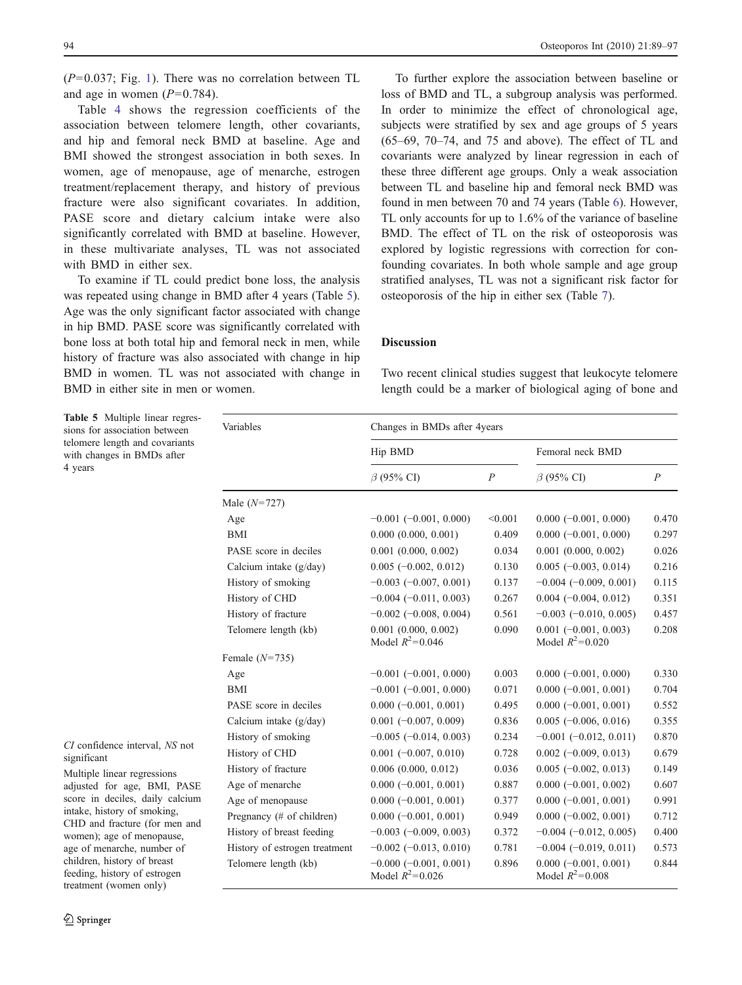$(P=0.037;$  Fig. [1\)](#page-4-0). There was no correlation between TL and age in women  $(P=0.784)$ .

Table [4](#page-4-0) shows the regression coefficients of the association between telomere length, other covariants, and hip and femoral neck BMD at baseline. Age and BMI showed the strongest association in both sexes. In women, age of menopause, age of menarche, estrogen treatment/replacement therapy, and history of previous fracture were also significant covariates. In addition, PASE score and dietary calcium intake were also significantly correlated with BMD at baseline. However, in these multivariate analyses, TL was not associated with BMD in either sex.

To examine if TL could predict bone loss, the analysis was repeated using change in BMD after 4 years (Table 5). Age was the only significant factor associated with change in hip BMD. PASE score was significantly correlated with bone loss at both total hip and femoral neck in men, while history of fracture was also associated with change in hip BMD in women. TL was not associated with change in BMD in either site in men or women.

Table 5 Multiple linear regres-

To further explore the association between baseline or loss of BMD and TL, a subgroup analysis was performed. In order to minimize the effect of chronological age, subjects were stratified by sex and age groups of 5 years (65–69, 70–74, and 75 and above). The effect of TL and covariants were analyzed by linear regression in each of these three different age groups. Only a weak association between TL and baseline hip and femoral neck BMD was found in men between 70 and 74 years (Table [6](#page-6-0)). However, TL only accounts for up to 1.6% of the variance of baseline BMD. The effect of TL on the risk of osteoporosis was explored by logistic regressions with correction for confounding covariates. In both whole sample and age group stratified analyses, TL was not a significant risk factor for osteoporosis of the hip in either sex (Table [7](#page-6-0)).

# Discussion

Two recent clinical studies suggest that leukocyte telomere length could be a marker of biological aging of bone and

Hip BMD Femoral neck BMD  $\beta$  (95% CI)  $P$   $\beta$  (95% CI)  $P$ Male (N=727) Age  $-0.001 (-0.001, 0.000)$  <0.001 0.000 (−0.001, 0.000) 0.470 BMI 0.000 (0.000, 0.001) 0.409 0.000 (−0.001, 0.000) 0.297 PASE score in deciles 0.001 (0.000, 0.002) 0.034 0.001 (0.000, 0.002) 0.026 Calcium intake (g/day) 0.005 (−0.002, 0.012) 0.130 0.005 (−0.003, 0.014) 0.216 History of smoking −0.003 (−0.007, 0.001) 0.137 −0.004 (−0.009, 0.001) 0.115 History of CHD −0.004 (−0.011, 0.003) 0.267 0.004 (−0.004, 0.012) 0.351 History of fracture −0.002 (−0.008, 0.004) 0.561 −0.003 (−0.010, 0.005) 0.457 Telomere length (kb) 0.001 (0.000, 0.002) 0.0090 0.001 (−0.001, 0.003) 0.208 Model  $R^2 = 0.046$  $= 0.046$  Model  $R^2 = 0.020$ Female  $(N=735)$ Age −0.001 (−0.001, 0.000) 0.003 0.000 (−0.001, 0.000) 0.330 BMI −0.001 (−0.001, 0.000) 0.071 0.000 (−0.001, 0.001) 0.704 PASE score in deciles 0.000 (−0.001, 0.001) 0.495 0.000 (−0.001, 0.001) 0.552 Calcium intake (g/day) 0.001 (−0.007, 0.009) 0.836 0.005 (−0.006, 0.016) 0.355 History of smoking  $-0.005$  (-0.014, 0.003) 0.234  $-0.001$  (-0.012, 0.011) 0.870 History of CHD 0.001 (−0.007, 0.010) 0.728 0.002 (−0.009, 0.013) 0.679 History of fracture 0.006 (0.000, 0.012) 0.036 0.005 (−0.002, 0.013) 0.149 Age of menarche 0.000 (−0.001, 0.001) 0.887 0.000 (−0.001, 0.002) 0.607 Age of menopause 0.000 (−0.001, 0.001) 0.377 0.000 (−0.001, 0.001) 0.991 Pregnancy (# of children) 0.000 (−0.001, 0.001) 0.949 0.000 (−0.002, 0.001) 0.712 History of breast feeding −0.003 (−0.009, 0.003) 0.372 −0.004 (−0.012, 0.005) 0.400 History of estrogen treatment −0.002 (−0.013, 0.010) 0.781 −0.004 (−0.019, 0.011) 0.573 Telomere length (kb)  $-0.000 (-0.001, 0.001)$  0.896 0.000 (−0.001, 0.001) 0.844 Model  $R^2 = 0.026$  $= 0.026$  Model  $R^2 = 0.008$ sions for association between telomere length and covariants with changes in BMDs after 4 years CI confidence interval, NS not significant Multiple linear regressions adjusted for age, BMI, PASE score in deciles, daily calcium intake, history of smoking, CHD and fracture (for men and women); age of menopause, age of menarche, number of children, history of breast feeding, history of estrogen treatment (women only)

Variables Changes in BMDs after 4years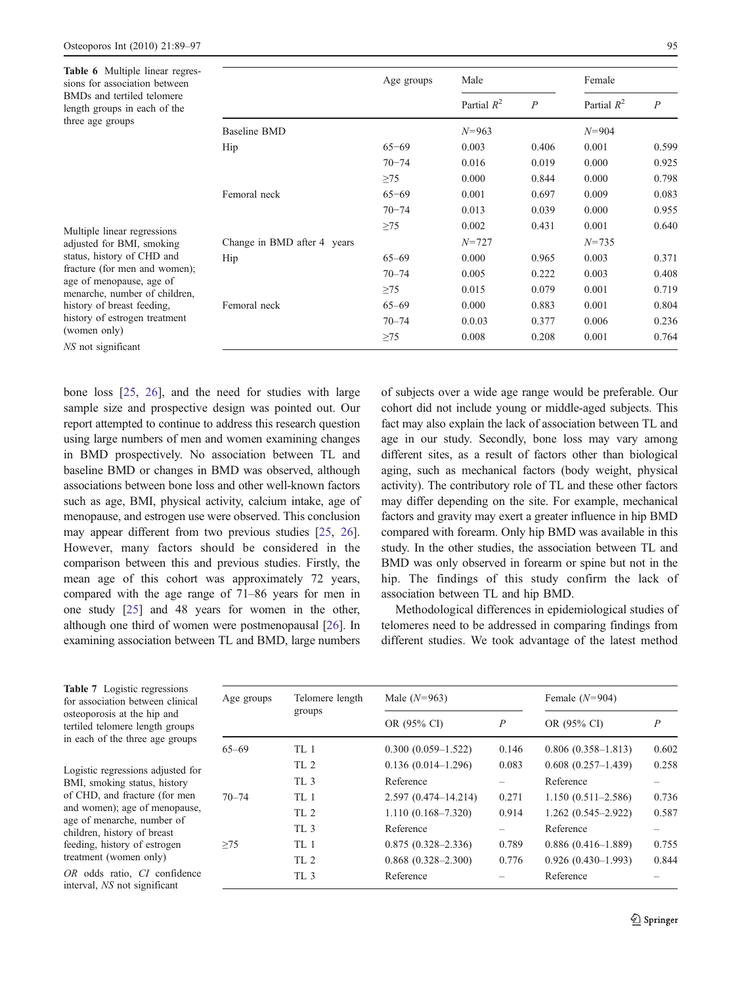NS not significant

<span id="page-6-0"></span>

| <b>Table 6</b> Multiple linear regres-<br>sions for association between<br>BMDs and tertiled telomere<br>length groups in each of the                                                                              |                             | Age groups | Male          |                  | Female        |                |
|--------------------------------------------------------------------------------------------------------------------------------------------------------------------------------------------------------------------|-----------------------------|------------|---------------|------------------|---------------|----------------|
|                                                                                                                                                                                                                    |                             |            | Partial $R^2$ | $\boldsymbol{P}$ | Partial $R^2$ | $\overline{P}$ |
| three age groups                                                                                                                                                                                                   | <b>Baseline BMD</b>         |            | $N = 963$     |                  | $N = 904$     |                |
|                                                                                                                                                                                                                    | Hip                         | $65 - 69$  | 0.003         | 0.406            | 0.001         | 0.599          |
|                                                                                                                                                                                                                    |                             | $70 - 74$  | 0.016         | 0.019            | 0.000         | 0.925          |
| Multiple linear regressions<br>adjusted for BMI, smoking<br>status, history of CHD and<br>fracture (for men and women);<br>age of menopause, age of<br>menarche, number of children,<br>history of breast feeding, |                             | $\geq$ 75  | 0.000         | 0.844            | 0.000         | 0.798          |
|                                                                                                                                                                                                                    | Femoral neck                | $65 - 69$  | 0.001         | 0.697            | 0.009         | 0.083          |
|                                                                                                                                                                                                                    |                             | $70 - 74$  | 0.013         | 0.039            | 0.000         | 0.955          |
|                                                                                                                                                                                                                    |                             | $\geq$ 75  | 0.002         | 0.431            | 0.001         | 0.640          |
|                                                                                                                                                                                                                    | Change in BMD after 4 years |            | $N = 727$     |                  | $N = 735$     |                |
|                                                                                                                                                                                                                    | Hip                         | $65 - 69$  | 0.000         | 0.965            | 0.003         | 0.371          |
|                                                                                                                                                                                                                    |                             | $70 - 74$  | 0.005         | 0.222            | 0.003         | 0.408          |
|                                                                                                                                                                                                                    |                             | $\geq$ 75  | 0.015         | 0.079            | 0.001         | 0.719          |
|                                                                                                                                                                                                                    | Femoral neck                | $65 - 69$  | 0.000         | 0.883            | 0.001         | 0.804          |
| history of estrogen treatment                                                                                                                                                                                      |                             | $70 - 74$  | 0.0.03        | 0.377            | 0.006         | 0.236          |
| (women only)                                                                                                                                                                                                       |                             | $\geq$ 75  | 0.008         | 0.208            | 0.001         | 0.764          |

bone loss [\[25](#page-8-0), [26\]](#page-8-0), and the need for studies with large sample size and prospective design was pointed out. Our report attempted to continue to address this research question using large numbers of men and women examining changes in BMD prospectively. No association between TL and baseline BMD or changes in BMD was observed, although associations between bone loss and other well-known factors such as age, BMI, physical activity, calcium intake, age of menopause, and estrogen use were observed. This conclusion may appear different from two previous studies [\[25](#page-8-0), [26\]](#page-8-0). However, many factors should be considered in the comparison between this and previous studies. Firstly, the mean age of this cohort was approximately 72 years, compared with the age range of 71–86 years for men in one study [[25](#page-8-0)] and 48 years for women in the other, although one third of women were postmenopausal [\[26](#page-8-0)]. In examining association between TL and BMD, large numbers of subjects over a wide age range would be preferable. Our cohort did not include young or middle-aged subjects. This fact may also explain the lack of association between TL and age in our study. Secondly, bone loss may vary among different sites, as a result of factors other than biological aging, such as mechanical factors (body weight, physical activity). The contributory role of TL and these other factors may differ depending on the site. For example, mechanical factors and gravity may exert a greater influence in hip BMD compared with forearm. Only hip BMD was available in this study. In the other studies, the association between TL and BMD was only observed in forearm or spine but not in the hip. The findings of this study confirm the lack of association between TL and hip BMD.

Methodological differences in epidemiological studies of telomeres need to be addressed in comparing findings from different studies. We took advantage of the latest method

Table 7 Logistic regressions for association between clinical osteoporosis at the hip and tertiled telomere length groups in each of the three age groups

Logistic regressions adjusted for BMI, smoking status, history of CHD, and fracture (for men and women); age of menopause, age of menarche, number of children, history of breast feeding, history of estrogen treatment (women only)

OR odds ratio, CI confidence interval, NS not significant

| Age groups | Telomere length | Male $(N=963)$          |       | Female $(N=904)$       |       |  |
|------------|-----------------|-------------------------|-------|------------------------|-------|--|
|            | groups          | OR (95% CI)             | P     | OR (95% CI)            | P     |  |
| $65 - 69$  | TL 1            | $0.300(0.059-1.522)$    | 0.146 | $0.806(0.358-1.813)$   | 0.602 |  |
|            | TL2             | $0.136(0.014-1.296)$    | 0.083 | $0.608(0.257-1.439)$   | 0.258 |  |
|            | TL3             | Reference               |       | Reference              |       |  |
| $70 - 74$  | TL1             | $2.597(0.474 - 14.214)$ | 0.271 | $1.150(0.511 - 2.586)$ | 0.736 |  |
|            | TL <sub>2</sub> | $1.110(0.168 - 7.320)$  | 0.914 | $1.262(0.545 - 2.922)$ | 0.587 |  |
|            | TL3             | Reference               |       | Reference              |       |  |
| >75        | TL 1            | $0.875(0.328 - 2.336)$  | 0.789 | $0.886(0.416-1.889)$   | 0.755 |  |
|            | TL2             | $0.868(0.328 - 2.300)$  | 0.776 | $0.926(0.430-1.993)$   | 0.844 |  |
|            | TL3             | Reference               |       | Reference              |       |  |

2 Springer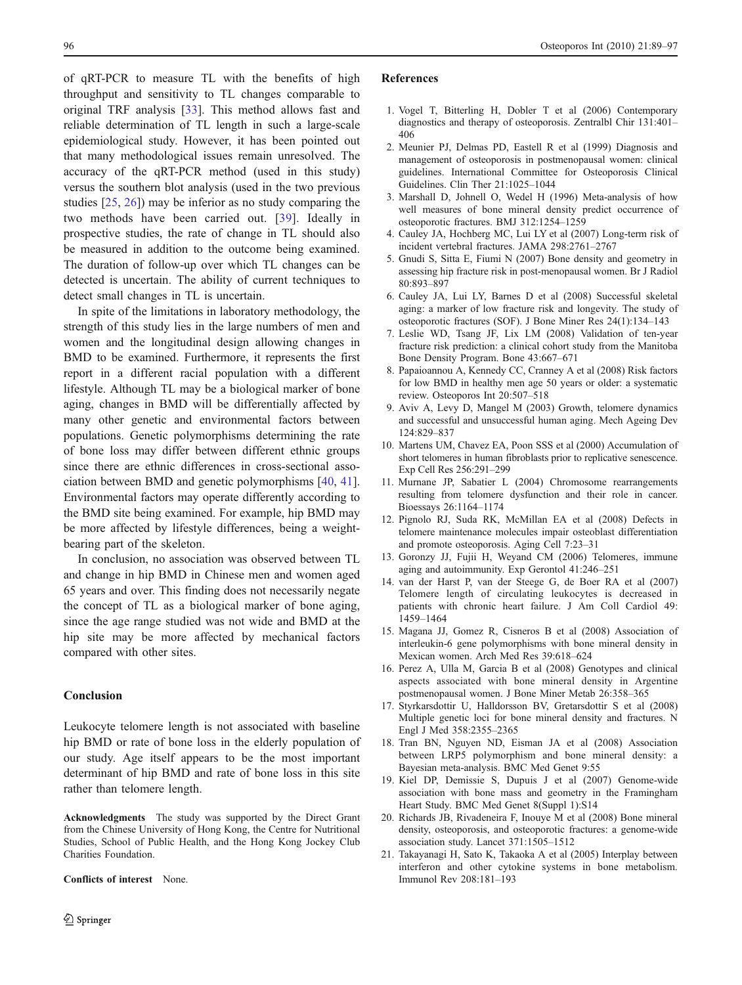<span id="page-7-0"></span>of qRT-PCR to measure TL with the benefits of high throughput and sensitivity to TL changes comparable to original TRF analysis [[33\]](#page-8-0). This method allows fast and reliable determination of TL length in such a large-scale epidemiological study. However, it has been pointed out that many methodological issues remain unresolved. The accuracy of the qRT-PCR method (used in this study) versus the southern blot analysis (used in the two previous studies [[25,](#page-8-0) [26\]](#page-8-0)) may be inferior as no study comparing the two methods have been carried out. [\[39](#page-8-0)]. Ideally in prospective studies, the rate of change in TL should also be measured in addition to the outcome being examined. The duration of follow-up over which TL changes can be detected is uncertain. The ability of current techniques to detect small changes in TL is uncertain.

In spite of the limitations in laboratory methodology, the strength of this study lies in the large numbers of men and women and the longitudinal design allowing changes in BMD to be examined. Furthermore, it represents the first report in a different racial population with a different lifestyle. Although TL may be a biological marker of bone aging, changes in BMD will be differentially affected by many other genetic and environmental factors between populations. Genetic polymorphisms determining the rate of bone loss may differ between different ethnic groups since there are ethnic differences in cross-sectional association between BMD and genetic polymorphisms [\[40](#page-8-0), [41](#page-8-0)]. Environmental factors may operate differently according to the BMD site being examined. For example, hip BMD may be more affected by lifestyle differences, being a weightbearing part of the skeleton.

In conclusion, no association was observed between TL and change in hip BMD in Chinese men and women aged 65 years and over. This finding does not necessarily negate the concept of TL as a biological marker of bone aging, since the age range studied was not wide and BMD at the hip site may be more affected by mechanical factors compared with other sites.

#### Conclusion

Leukocyte telomere length is not associated with baseline hip BMD or rate of bone loss in the elderly population of our study. Age itself appears to be the most important determinant of hip BMD and rate of bone loss in this site rather than telomere length.

Acknowledgments The study was supported by the Direct Grant from the Chinese University of Hong Kong, the Centre for Nutritional Studies, School of Public Health, and the Hong Kong Jockey Club Charities Foundation.

Conflicts of interest None.

#### References

- 1. Vogel T, Bitterling H, Dobler T et al (2006) Contemporary diagnostics and therapy of osteoporosis. Zentralbl Chir 131:401– 406
- 2. Meunier PJ, Delmas PD, Eastell R et al (1999) Diagnosis and management of osteoporosis in postmenopausal women: clinical guidelines. International Committee for Osteoporosis Clinical Guidelines. Clin Ther 21:1025–1044
- 3. Marshall D, Johnell O, Wedel H (1996) Meta-analysis of how well measures of bone mineral density predict occurrence of osteoporotic fractures. BMJ 312:1254–1259
- 4. Cauley JA, Hochberg MC, Lui LY et al (2007) Long-term risk of incident vertebral fractures. JAMA 298:2761–2767
- 5. Gnudi S, Sitta E, Fiumi N (2007) Bone density and geometry in assessing hip fracture risk in post-menopausal women. Br J Radiol 80:893–897
- 6. Cauley JA, Lui LY, Barnes D et al (2008) Successful skeletal aging: a marker of low fracture risk and longevity. The study of osteoporotic fractures (SOF). J Bone Miner Res 24(1):134–143
- 7. Leslie WD, Tsang JF, Lix LM (2008) Validation of ten-year fracture risk prediction: a clinical cohort study from the Manitoba Bone Density Program. Bone 43:667–671
- 8. Papaioannou A, Kennedy CC, Cranney A et al (2008) Risk factors for low BMD in healthy men age 50 years or older: a systematic review. Osteoporos Int 20:507–518
- 9. Aviv A, Levy D, Mangel M (2003) Growth, telomere dynamics and successful and unsuccessful human aging. Mech Ageing Dev 124:829–837
- 10. Martens UM, Chavez EA, Poon SSS et al (2000) Accumulation of short telomeres in human fibroblasts prior to replicative senescence. Exp Cell Res 256:291–299
- 11. Murnane JP, Sabatier L (2004) Chromosome rearrangements resulting from telomere dysfunction and their role in cancer. Bioessays 26:1164–1174
- 12. Pignolo RJ, Suda RK, McMillan EA et al (2008) Defects in telomere maintenance molecules impair osteoblast differentiation and promote osteoporosis. Aging Cell 7:23–31
- 13. Goronzy JJ, Fujii H, Weyand CM (2006) Telomeres, immune aging and autoimmunity. Exp Gerontol 41:246–251
- 14. van der Harst P, van der Steege G, de Boer RA et al (2007) Telomere length of circulating leukocytes is decreased in patients with chronic heart failure. J Am Coll Cardiol 49: 1459–1464
- 15. Magana JJ, Gomez R, Cisneros B et al (2008) Association of interleukin-6 gene polymorphisms with bone mineral density in Mexican women. Arch Med Res 39:618–624
- 16. Perez A, Ulla M, Garcia B et al (2008) Genotypes and clinical aspects associated with bone mineral density in Argentine postmenopausal women. J Bone Miner Metab 26:358–365
- 17. Styrkarsdottir U, Halldorsson BV, Gretarsdottir S et al (2008) Multiple genetic loci for bone mineral density and fractures. N Engl J Med 358:2355–2365
- 18. Tran BN, Nguyen ND, Eisman JA et al (2008) Association between LRP5 polymorphism and bone mineral density: a Bayesian meta-analysis. BMC Med Genet 9:55
- 19. Kiel DP, Demissie S, Dupuis J et al (2007) Genome-wide association with bone mass and geometry in the Framingham Heart Study. BMC Med Genet 8(Suppl 1):S14
- 20. Richards JB, Rivadeneira F, Inouye M et al (2008) Bone mineral density, osteoporosis, and osteoporotic fractures: a genome-wide association study. Lancet 371:1505–1512
- 21. Takayanagi H, Sato K, Takaoka A et al (2005) Interplay between interferon and other cytokine systems in bone metabolism. Immunol Rev 208:181–193